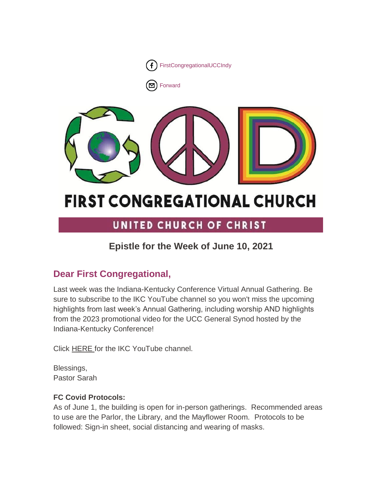

**[Forward](http://us16.forward-to-friend.com/forward?u=7a2e4c501545b6d78729a64a1&id=2a4d325f93&e=%5bUNIQID%5d)** 



# **FIRST CONGREGATIONAL CHURCH**

# UNITED CHURCH OF CHRIST

# **Epistle for the Week of June 10, 2021**

# **Dear First Congregational,**

Last week was the Indiana-Kentucky Conference Virtual Annual Gathering. Be sure to subscribe to the IKC YouTube channel so you won't miss the upcoming highlights from last week's Annual Gathering, including worship AND highlights from the 2023 promotional video for the UCC General Synod hosted by the Indiana-Kentucky Conference!

Click [HERE](https://www.youtube.com/channel/UCHF9y3_ulh4lWyxHdVm9U0Q/featured) for the IKC YouTube channel.

Blessings, Pastor Sarah

# **FC Covid Protocols:**

As of June 1, the building is open for in-person gatherings. Recommended areas to use are the Parlor, the Library, and the Mayflower Room. Protocols to be followed: Sign-in sheet, social distancing and wearing of masks.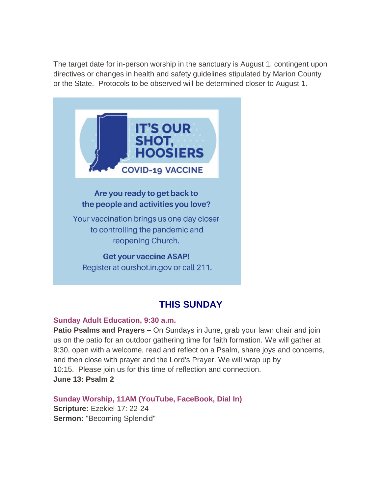The target date for in-person worship in the sanctuary is August 1, contingent upon directives or changes in health and safety guidelines stipulated by Marion County or the State. Protocols to be observed will be determined closer to August 1.



Are you ready to get back to the people and activities you love?

Your vaccination brings us one day closer to controlling the pandemic and reopening Church.

#### **Get your vaccine ASAP!**

Register at ourshot.in.gov or call 211.

# **THIS SUNDAY**

#### **Sunday Adult Education, 9:30 a.m.**

**Patio Psalms and Prayers –** On Sundays in June, grab your lawn chair and join us on the patio for an outdoor gathering time for faith formation. We will gather at 9:30, open with a welcome, read and reflect on a Psalm, share joys and concerns, and then close with prayer and the Lord's Prayer. We will wrap up by 10:15. Please join us for this time of reflection and connection. **June 13: Psalm 2**

**Sunday Worship, 11AM (YouTube, FaceBook, Dial In) Scripture:** Ezekiel 17: 22-24 **Sermon:** "Becoming Splendid"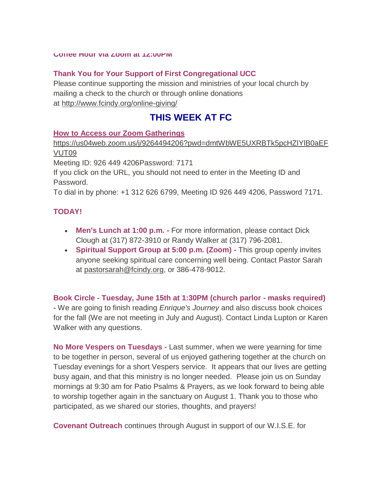#### **Thank You for Your Support of First Congregational UCC**

Please continue supporting the mission and ministries of your local church by mailing a check to the church or through online donations at <http://www.fcindy.org/online-giving/>

# **THIS WEEK AT FC**

#### **How to Access our Zoom Gatherings**

[https://us04web.zoom.us/j/9264494206?pwd=dmtWbWE5UXRBTk5pcHZlYlB0aEF](https://us04web.zoom.us/j/9264494206?pwd=dmtWbWE5UXRBTk5pcHZlYlB0aEFVUT09) [VUT09](https://us04web.zoom.us/j/9264494206?pwd=dmtWbWE5UXRBTk5pcHZlYlB0aEFVUT09)

Meeting ID: 926 449 4206Password: 7171

If you click on the URL, you should not need to enter in the Meeting ID and Password.

To dial in by phone: +1 312 626 6799, Meeting ID 926 449 4206, Password 7171.

### **TODAY!**

- **Men's Lunch at 1:00 p.m. -** For more information, please contact Dick Clough at (317) 872-3910 or Randy Walker at (317) 796-2081.
- **Spiritual Support Group at 5:00 p.m. (Zoom) -** This group openly invites anyone seeking spiritual care concerning well being. Contact Pastor Sarah at [pastorsarah@fcindy.org,](mailto:pastorsarah@fcindy.org) or 386-478-9012.

**Book Circle - Tuesday, June 15th at 1:30PM (church parlor - masks required) -** We are going to finish reading *Enrique's Journey* and also discuss book choices for the fall (We are not meeting in July and August). Contact Linda Lupton or Karen Walker with any questions.

**No More Vespers on Tuesdays -** Last summer, when we were yearning for time to be together in person, several of us enjoyed gathering together at the church on Tuesday evenings for a short Vespers service. It appears that our lives are getting busy again, and that this ministry is no longer needed. Please join us on Sunday mornings at 9:30 am for Patio Psalms & Prayers, as we look forward to being able to worship together again in the sanctuary on August 1. Thank you to those who participated, as we shared our stories, thoughts, and prayers!

**Covenant Outreach** continues through August in support of our W.I.S.E. for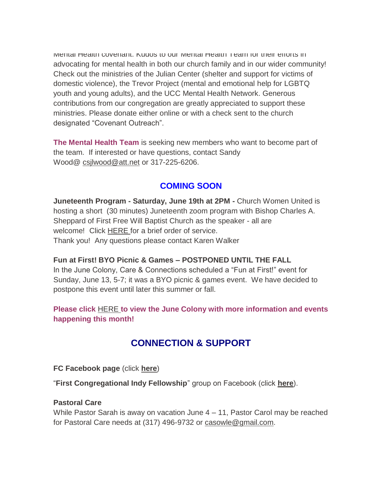Mental Health covenant. Kudos to our Mental Health Team for their efforts in advocating for mental health in both our church family and in our wider community! Check out the ministries of the Julian Center (shelter and support for victims of domestic violence), the Trevor Project (mental and emotional help for LGBTQ youth and young adults), and the UCC Mental Health Network. Generous contributions from our congregation are greatly appreciated to support these ministries. Please donate either online or with a check sent to the church designated "Covenant Outreach".

**The Mental Health Team** is seeking new members who want to become part of the team. If interested or have questions, contact Sandy Wood@ [csjlwood@att.net](mailto:csjlwood@att.net) or 317-225-6206.

# **COMING SOON**

**Juneteenth Program - Saturday, June 19th at 2PM -** Church Women United is hosting a short (30 minutes) Juneteenth zoom program with Bishop Charles A. Sheppard of First Free Will Baptist Church as the speaker - all are welcome! Click [HERE](https://mcusercontent.com/7a2e4c501545b6d78729a64a1/files/75e14fd6-d031-600f-abb6-d6837623eae9/Juneteenth.Order_of_Service.pdf) for a brief order of service. Thank you! Any questions please contact Karen Walker

### **Fun at First! BYO Picnic & Games – POSTPONED UNTIL THE FALL**

In the June Colony, Care & Connections scheduled a "Fun at First!" event for Sunday, June 13, 5-7; it was a BYO picnic & games event. We have decided to postpone this event until later this summer or fall.

**Please click** [HERE](https://mcusercontent.com/7a2e4c501545b6d78729a64a1/files/d48f69d7-e688-a3ac-b0c2-00c4dfd79cda/June_Colony_2021.01.pdf) **[t](https://mcusercontent.com/7a2e4c501545b6d78729a64a1/files/d48f69d7-e688-a3ac-b0c2-00c4dfd79cda/June_Colony_2021.01.pdf)o view the June Colony with more information and events happening this month!**

# **CONNECTION & SUPPORT**

**FC Facebook page** (click **[here](https://www.facebook.com/FirstCongregationalUCCIndy/)**)

"**First Congregational Indy Fellowship**" group on Facebook (click **[here](https://www.facebook.com/groups/521333455186422/)**).

#### **Pastoral Care**

While Pastor Sarah is away on vacation June 4 – 11, Pastor Carol may be reached for Pastoral Care needs at (317) 496-9732 or [casowle@gmail.com.](mailto:casowle@gmail.com)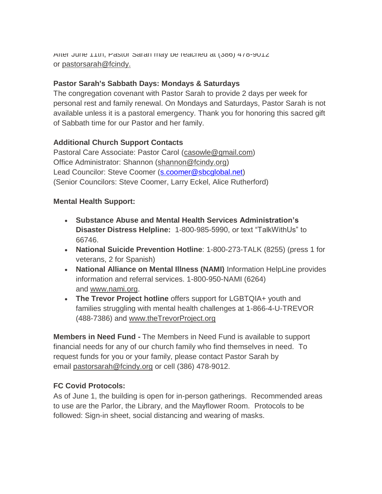After June 11th, Pastor Sarah may be reached at (386) 478-9012 or [pastorsarah@fcindy.](mailto:pastorsarah@fcindy.org)

### **Pastor Sarah's Sabbath Days: Mondays & Saturdays**

The congregation covenant with Pastor Sarah to provide 2 days per week for personal rest and family renewal. On Mondays and Saturdays, Pastor Sarah is not available unless it is a pastoral emergency. Thank you for honoring this sacred gift of Sabbath time for our Pastor and her family.

## **Additional Church Support Contacts**

Pastoral Care Associate: Pastor Carol [\(casowle@gmail.com\)](mailto:casowle@gmail.com) Office Administrator: Shannon [\(shannon@fcindy.org\)](mailto:shannon@fcindy.org) Lead Councilor: Steve Coomer [\(s.coomer@sbcglobal.net\)](mailto:s.coomer@sbcglobal.net) (Senior Councilors: Steve Coomer, Larry Eckel, Alice Rutherford)

### **Mental Health Support:**

- **Substance Abuse and Mental Health Services Administration's Disaster Distress Helpline:** 1-800-985-5990, or text "TalkWithUs" to 66746.
- **National Suicide Prevention Hotline**: 1-800-273-TALK (8255) (press 1 for veterans, 2 for Spanish)
- **National Alliance on Mental Illness (NAMI)** Information HelpLine provides information and referral services. 1-800-950-NAMI (6264) and [www.nami.org.](http://www.nami.org/)
- **The Trevor Project hotline** offers support for LGBTQIA+ youth and families struggling with mental health challenges at 1-866-4-U-TREVOR (488-7386) and [www.theTrevorProject.org](http://www.thetrevorproject.org/)

**Members in Need Fund -** The Members in Need Fund is available to support financial needs for any of our church family who find themselves in need. To request funds for you or your family, please contact Pastor Sarah by email [pastorsarah@fcindy.org](mailto:pastorsarah@fcindy.org) or cell (386) 478-9012.

## **FC Covid Protocols:**

As of June 1, the building is open for in-person gatherings. Recommended areas to use are the Parlor, the Library, and the Mayflower Room. Protocols to be followed: Sign-in sheet, social distancing and wearing of masks.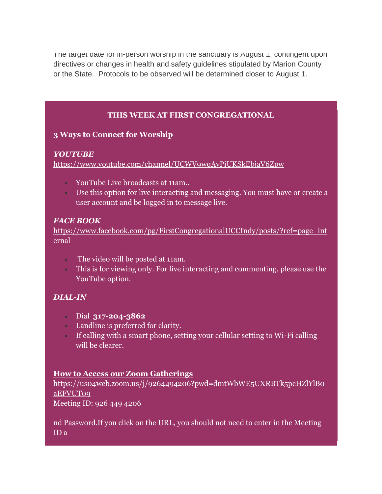The target date for in-person worship in the sanctuary is August 1, contingent upon directives or changes in health and safety guidelines stipulated by Marion County or the State. Protocols to be observed will be determined closer to August 1.

# **THIS WEEK AT FIRST CONGREGATIONAL**

## **3 Ways to Connect for Worship**

### *YOUTUBE*

<https://www.youtube.com/channel/UCWV9wqAvPiUKSkEbjaV6Zpw>

- YouTube Live broadcasts at 11am..
- Use this option for live interacting and messaging. You must have or create a user account and be logged in to message live.

### *FACE BOOK*

[https://www.facebook.com/pg/FirstCongregationalUCCIndy/posts/?ref=page\\_int](https://www.facebook.com/pg/FirstCongregationalUCCIndy/posts/?ref=page_internal) [ernal](https://www.facebook.com/pg/FirstCongregationalUCCIndy/posts/?ref=page_internal)

- The video will be posted at 11am.
- This is for viewing only. For live interacting and commenting, please use the YouTube option.

# *DIAL-IN*

- Dial **317-204-3862**
- Landline is preferred for clarity.
- If calling with a smart phone, setting your cellular setting to Wi-Fi calling will be clearer.

## **How to Access our Zoom Gatherings**

[https://us04web.zoom.us/j/9264494206?pwd=dmtWbWE5UXRBTk5pcHZlYlB0](https://us04web.zoom.us/j/9264494206?pwd=dmtWbWE5UXRBTk5pcHZlYlB0aEFVUT09) [aEFVUT09](https://us04web.zoom.us/j/9264494206?pwd=dmtWbWE5UXRBTk5pcHZlYlB0aEFVUT09)

Meeting ID: 926 449 4206

nd Password.If you click on the URL, you should not need to enter in the Meeting ID a